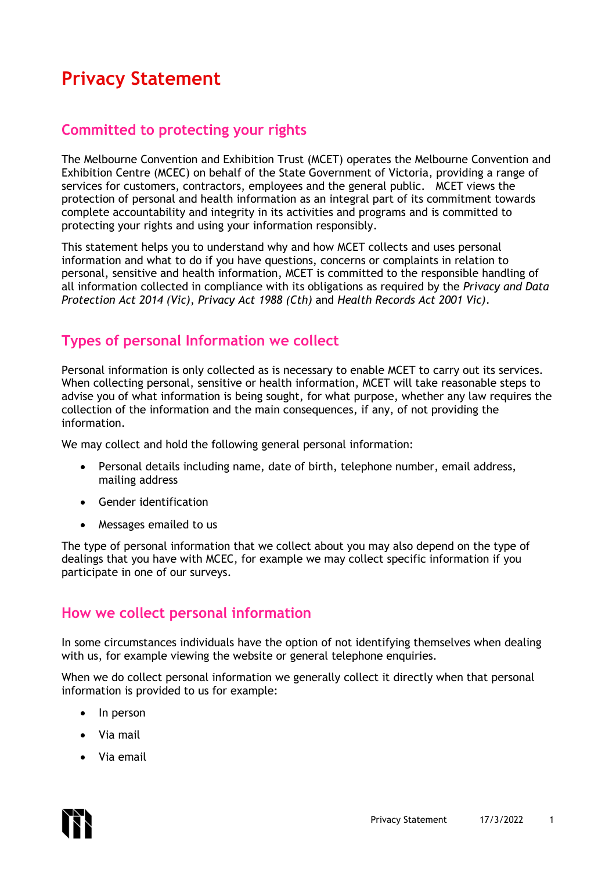# **Privacy Statement**

## **Committed to protecting your rights**

The Melbourne Convention and Exhibition Trust (MCET) operates the Melbourne Convention and Exhibition Centre (MCEC) on behalf of the State Government of Victoria, providing a range of services for customers, contractors, employees and the general public. MCET views the protection of personal and health information as an integral part of its commitment towards complete accountability and integrity in its activities and programs and is committed to protecting your rights and using your information responsibly.

This statement helps you to understand why and how MCET collects and uses personal information and what to do if you have questions, concerns or complaints in relation to personal, sensitive and health information, MCET is committed to the responsible handling of all information collected in compliance with its obligations as required by the *Privacy and Data Protection Act 2014 (Vic)*, *Privacy Act 1988 (Cth)* and *Health Records Act 2001 Vic)*.

### **Types of personal Information we collect**

Personal information is only collected as is necessary to enable MCET to carry out its services. When collecting personal, sensitive or health information, MCET will take reasonable steps to advise you of what information is being sought, for what purpose, whether any law requires the collection of the information and the main consequences, if any, of not providing the information.

We may collect and hold the following general personal information:

- Personal details including name, date of birth, telephone number, email address, mailing address
- Gender identification
- Messages emailed to us

The type of personal information that we collect about you may also depend on the type of dealings that you have with MCEC, for example we may collect specific information if you participate in one of our surveys.

#### **How we collect personal information**

In some circumstances individuals have the option of not identifying themselves when dealing with us, for example viewing the website or general telephone enquiries.

When we do collect personal information we generally collect it directly when that personal information is provided to us for example:

- In person
- Via mail
- Via email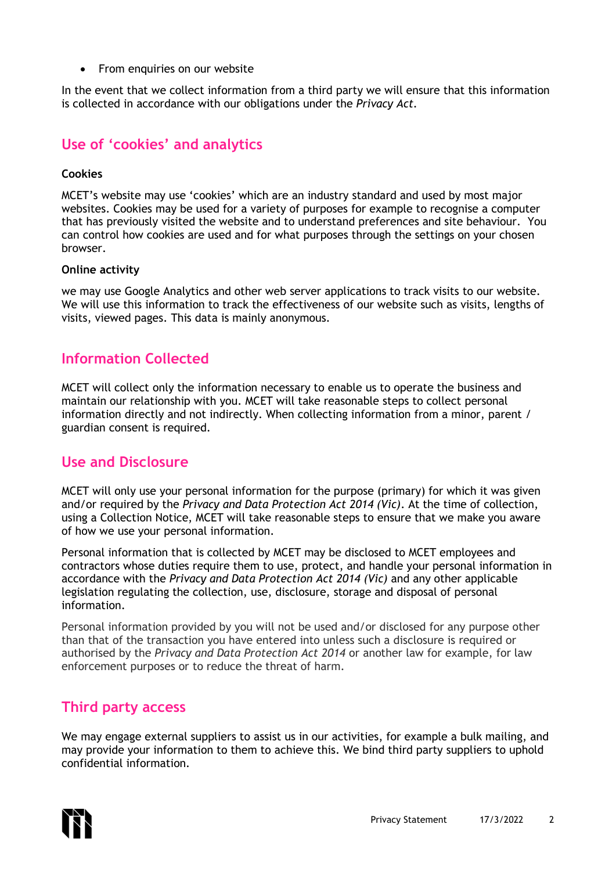• From enquiries on our website

In the event that we collect information from a third party we will ensure that this information is collected in accordance with our obligations under the *Privacy Act.*

### **Use of 'cookies' and analytics**

#### **Cookies**

MCET's website may use 'cookies' which are an industry standard and used by most major websites. Cookies may be used for a variety of purposes for example to recognise a computer that has previously visited the website and to understand preferences and site behaviour. You can control how cookies are used and for what purposes through the settings on your chosen browser.

#### **Online activity**

we may use Google Analytics and other web server applications to track visits to our website. We will use this information to track the effectiveness of our website such as visits, lengths of visits, viewed pages. This data is mainly anonymous.

### **Information Collected**

MCET will collect only the information necessary to enable us to operate the business and maintain our relationship with you. MCET will take reasonable steps to collect personal information directly and not indirectly. When collecting information from a minor, parent / guardian consent is required.

### **Use and Disclosure**

MCET will only use your personal information for the purpose (primary) for which it was given and/or required by the *Privacy and Data Protection Act 2014 (Vic)*. At the time of collection, using a Collection Notice, MCET will take reasonable steps to ensure that we make you aware of how we use your personal information.

Personal information that is collected by MCET may be disclosed to MCET employees and contractors whose duties require them to use, protect, and handle your personal information in accordance with the *Privacy and Data Protection Act 2014 (Vic)* and any other applicable legislation regulating the collection, use, disclosure, storage and disposal of personal information.

Personal information provided by you will not be used and/or disclosed for any purpose other than that of the transaction you have entered into unless such a disclosure is required or authorised by the *Privacy and Data Protection Act 2014* or another law for example, for law enforcement purposes or to reduce the threat of harm.

### **Third party access**

We may engage external suppliers to assist us in our activities, for example a bulk mailing, and may provide your information to them to achieve this. We bind third party suppliers to uphold confidential information.

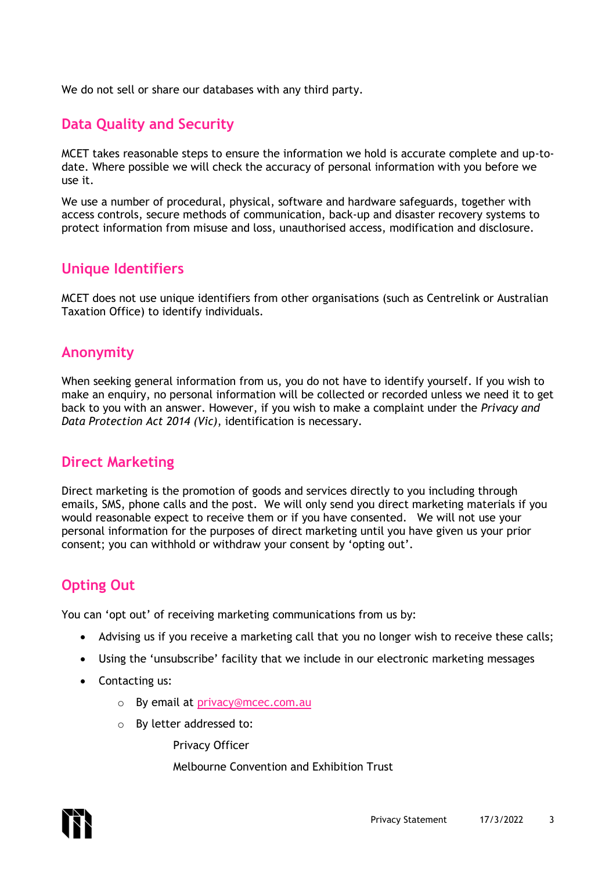We do not sell or share our databases with any third party.

### **Data Quality and Security**

MCET takes reasonable steps to ensure the information we hold is accurate complete and up-todate. Where possible we will check the accuracy of personal information with you before we use it.

We use a number of procedural, physical, software and hardware safeguards, together with access controls, secure methods of communication, back-up and disaster recovery systems to protect information from misuse and loss, unauthorised access, modification and disclosure.

### **Unique Identifiers**

MCET does not use unique identifiers from other organisations (such as Centrelink or Australian Taxation Office) to identify individuals.

### **Anonymity**

When seeking general information from us, you do not have to identify yourself. If you wish to make an enquiry, no personal information will be collected or recorded unless we need it to get back to you with an answer. However, if you wish to make a complaint under the *Privacy and Data Protection Act 2014 (Vic)*, identification is necessary.

### **Direct Marketing**

Direct marketing is the promotion of goods and services directly to you including through emails, SMS, phone calls and the post. We will only send you direct marketing materials if you would reasonable expect to receive them or if you have consented. We will not use your personal information for the purposes of direct marketing until you have given us your prior consent; you can withhold or withdraw your consent by 'opting out'.

# **Opting Out**

You can 'opt out' of receiving marketing communications from us by:

- Advising us if you receive a marketing call that you no longer wish to receive these calls;
- Using the 'unsubscribe' facility that we include in our electronic marketing messages
- Contacting us:
	- o By email at [privacy@mcec.com.au](mailto:privacy@mcec.com.au)
	- o By letter addressed to:

Privacy Officer

Melbourne Convention and Exhibition Trust

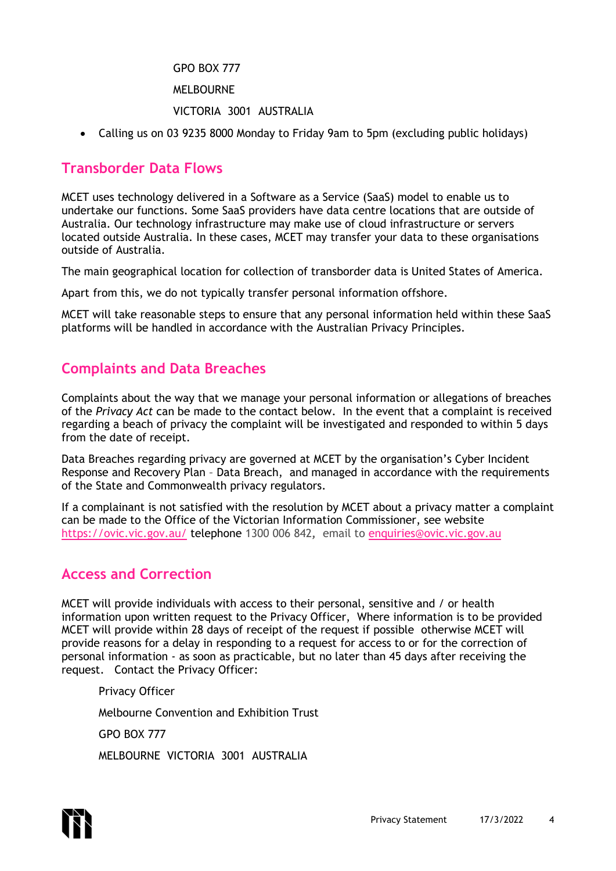#### GPO BOX 777

MELBOURNE

#### VICTORIA 3001 AUSTRALIA

• Calling us on 03 9235 8000 Monday to Friday 9am to 5pm (excluding public holidays)

#### **Transborder Data Flows**

MCET uses technology delivered in a Software as a Service (SaaS) model to enable us to undertake our functions. Some SaaS providers have data centre locations that are outside of Australia. Our technology infrastructure may make use of cloud infrastructure or servers located outside Australia. In these cases, MCET may transfer your data to these organisations outside of Australia.

The main geographical location for collection of transborder data is United States of America.

Apart from this, we do not typically transfer personal information offshore.

MCET will take reasonable steps to ensure that any personal information held within these SaaS platforms will be handled in accordance with the Australian Privacy Principles.

### **Complaints and Data Breaches**

Complaints about the way that we manage your personal information or allegations of breaches of the *Privacy Act* can be made to the contact below. In the event that a complaint is received regarding a beach of privacy the complaint will be investigated and responded to within 5 days from the date of receipt.

Data Breaches regarding privacy are governed at MCET by the organisation's Cyber Incident Response and Recovery Plan – Data Breach, and managed in accordance with the requirements of the State and Commonwealth privacy regulators.

If a complainant is not satisfied with the resolution by MCET about a privacy matter a complaint can be made to the Office of the Victorian Information Commissioner, see website <https://ovic.vic.gov.au/> telephone 1300 006 842**,** email to [enquiries@ovic.vic.gov.au](mailto:enquiries@ovic.vic.gov.au)

#### **Access and Correction**

MCET will provide individuals with access to their personal, sensitive and / or health information upon written request to the Privacy Officer, Where information is to be provided MCET will provide within 28 days of receipt of the request if possible otherwise MCET will provide reasons for a delay in responding to a request for access to or for the correction of personal information - as soon as practicable, but no later than 45 days after receiving the request. Contact the Privacy Officer:

Privacy Officer Melbourne Convention and Exhibition Trust

GPO BOX 777

MELBOURNE VICTORIA 3001 AUSTRALIA